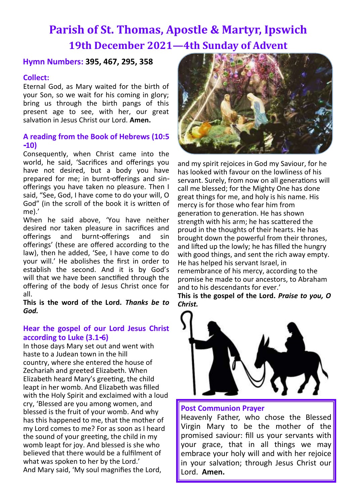# **Parish of St. Thomas, Apostle & Martyr, Ipswich 19th December 2021—4th Sunday of Advent**

# **Hymn Numbers: 395, 467, 295, 358**

# **Collect:**

Eternal God, as Mary waited for the birth of your Son, so we wait for his coming in glory; bring us through the birth pangs of this present age to see, with her, our great salvation in Jesus Christ our Lord. **Amen.**

# **A reading from the Book of Hebrews (10:5 -10)**

Consequently, when Christ came into the world, he said, 'Sacrifices and offerings you have not desired, but a body you have prepared for me; in burnt-offerings and sinofferings you have taken no pleasure. Then I said, "See, God, I have come to do your will, O God" (in the scroll of the book it is written of me).'

When he said above, 'You have neither desired nor taken pleasure in sacrifices and offerings and burnt-offerings and sin offerings' (these are offered according to the law), then he added, 'See, I have come to do your will.' He abolishes the first in order to establish the second. And it is by God's will that we have been sanctified through the offering of the body of Jesus Christ once for all.

**This is the word of the Lord.** *Thanks be to God.*

# **Hear the gospel of our Lord Jesus Christ according to Luke (3.1-6)**

In those days Mary set out and went with haste to a Judean town in the hill country, where she entered the house of Zechariah and greeted Elizabeth. When Elizabeth heard Mary's greeting, the child leapt in her womb. And Elizabeth was filled with the Holy Spirit and exclaimed with a loud cry, 'Blessed are you among women, and blessed is the fruit of your womb. And why has this happened to me, that the mother of my Lord comes to me? For as soon as I heard the sound of your greeting, the child in my womb leapt for joy. And blessed is she who believed that there would be a fulfilment of what was spoken to her by the Lord.' And Mary said, 'My soul magnifies the Lord,



and my spirit rejoices in God my Saviour, for he has looked with favour on the lowliness of his servant. Surely, from now on all generations will call me blessed; for the Mighty One has done great things for me, and holy is his name. His mercy is for those who fear him from generation to generation. He has shown strength with his arm; he has scattered the proud in the thoughts of their hearts. He has brought down the powerful from their thrones, and lifted up the lowly; he has filled the hungry with good things, and sent the rich away empty. He has helped his servant Israel, in remembrance of his mercy, according to the promise he made to our ancestors, to Abraham and to his descendants for ever.'

**This is the gospel of the Lord.** *Praise to you, O Christ.*



#### **Post Communion Prayer**

Heavenly Father, who chose the Blessed Virgin Mary to be the mother of the promised saviour: fill us your servants with your grace, that in all things we may embrace your holy will and with her rejoice in your salvation; through Jesus Christ our Lord. **Amen.**